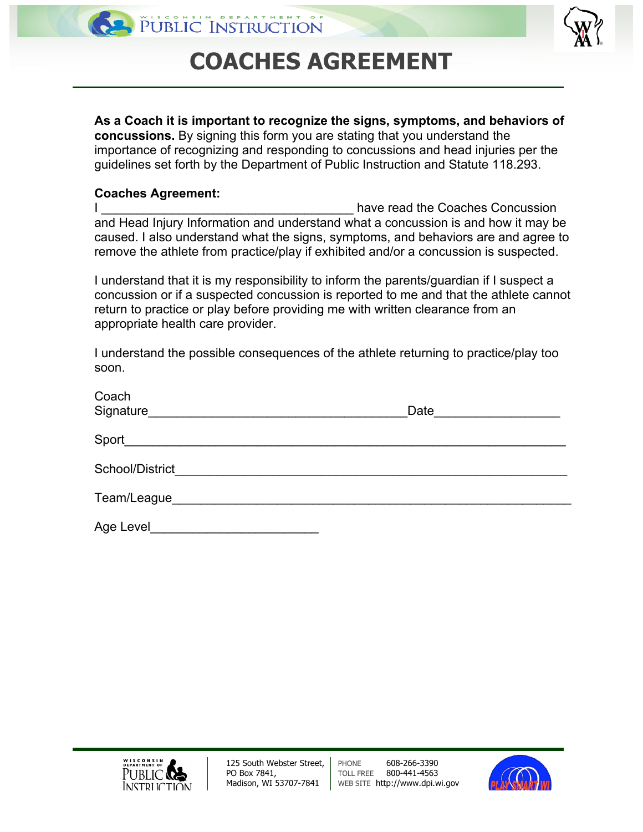

## **COACHES AGREEMENT**

**As a Coach it is important to recognize the signs, symptoms, and behaviors of concussions.** By signing this form you are stating that you understand the importance of recognizing and responding to concussions and head injuries per the guidelines set forth by the Department of Public Instruction and Statute 118.293.

## **Coaches Agreement:**

| have read the Coaches Concussion                                                     |  |
|--------------------------------------------------------------------------------------|--|
| and Head Injury Information and understand what a concussion is and how it may be    |  |
| caused. I also understand what the signs, symptoms, and behaviors are and agree to   |  |
| remove the athlete from practice/play if exhibited and/or a concussion is suspected. |  |

I understand that it is my responsibility to inform the parents/guardian if I suspect a concussion or if a suspected concussion is reported to me and that the athlete cannot return to practice or play before providing me with written clearance from an appropriate health care provider.

I understand the possible consequences of the athlete returning to practice/play too soon.

| Coach<br>Signature <b>Signature Signature Signature Signature Signature Signature Signature Signature Signature Signature Signature Signature Signature Signature Signature Signature Signature Signatu</b> | Date |
|-------------------------------------------------------------------------------------------------------------------------------------------------------------------------------------------------------------|------|
|                                                                                                                                                                                                             |      |
| School/District_________________________________                                                                                                                                                            |      |
| Team/League___                                                                                                                                                                                              |      |
| Age Level                                                                                                                                                                                                   |      |